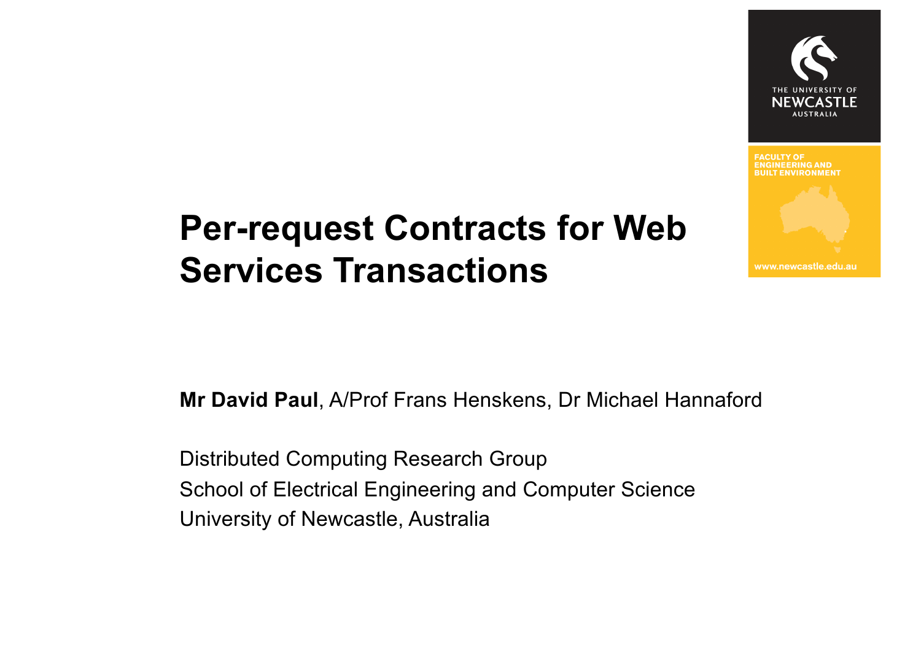

**IILT ENVIRONMEN** 

www.newcastle.edu.au

### **Per-request Contracts for Web Services Transactions**

**Mr David Paul**, A/Prof Frans Henskens, Dr Michael Hannaford

Distributed Computing Research Group School of Electrical Engineering and Computer Science University of Newcastle, Australia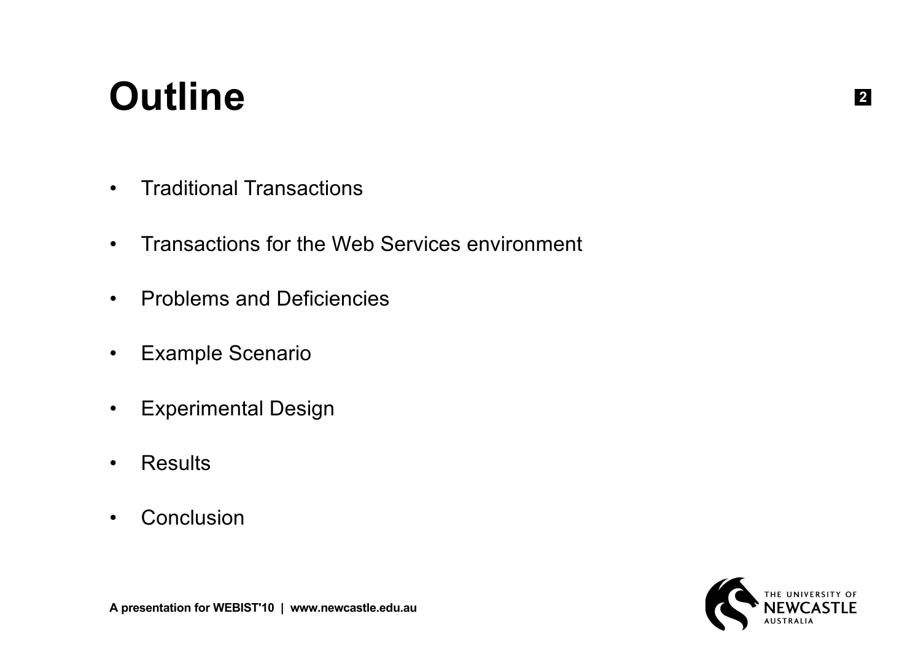### **Outline**

- Traditional Transactions
- Transactions for the Web Services environment
- Problems and Deficiencies
- Example Scenario
- Experimental Design
- Results
- Conclusion

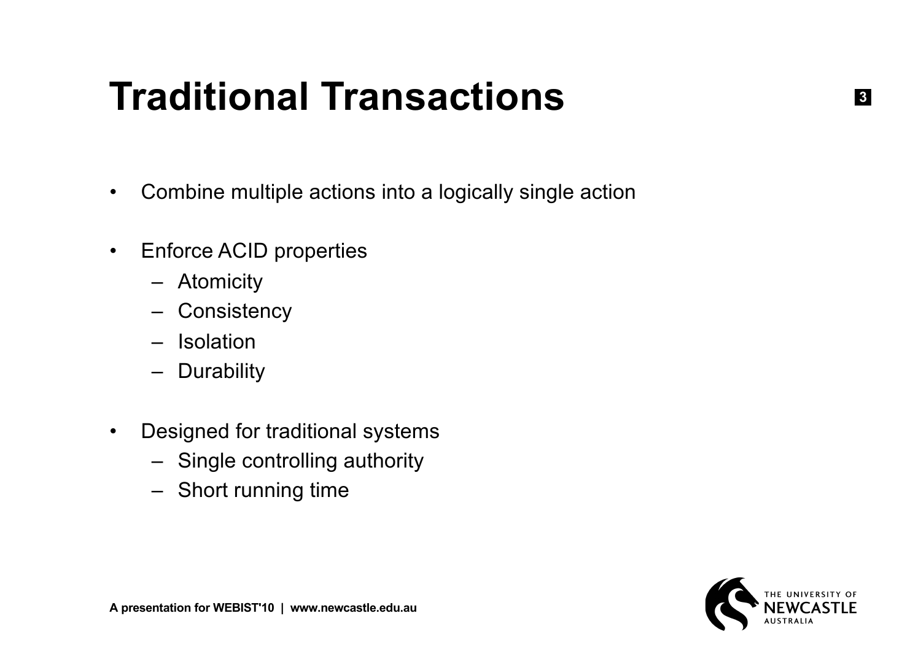### **Traditional Transactions**

- Combine multiple actions into a logically single action
- Enforce ACID properties
	- Atomicity
	- Consistency
	- Isolation
	- Durability
- Designed for traditional systems
	- Single controlling authority
	- Short running time

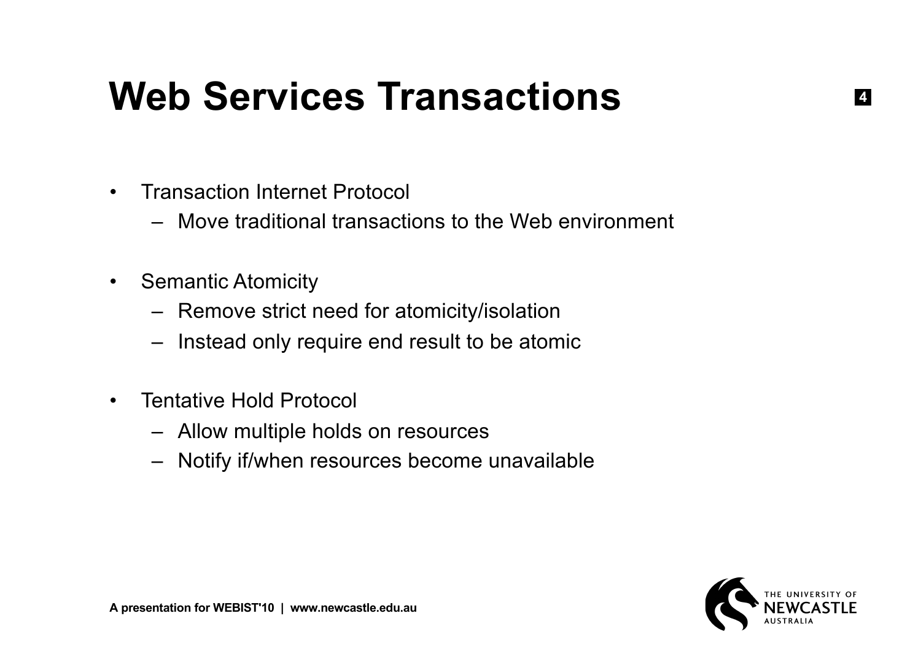### **Web Services Transactions**

- Transaction Internet Protocol
	- Move traditional transactions to the Web environment
- Semantic Atomicity
	- Remove strict need for atomicity/isolation
	- Instead only require end result to be atomic
- Tentative Hold Protocol
	- Allow multiple holds on resources
	- Notify if/when resources become unavailable

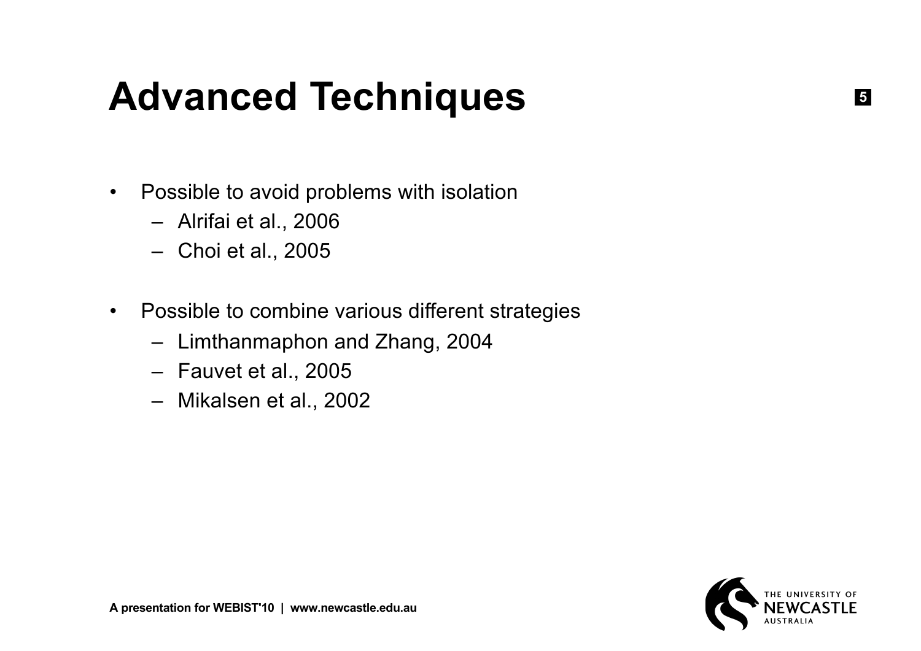## **Advanced Techniques**

- Possible to avoid problems with isolation
	- Alrifai et al., 2006
	- Choi et al., 2005
- Possible to combine various different strategies
	- Limthanmaphon and Zhang, 2004
	- Fauvet et al., 2005
	- Mikalsen et al., 2002



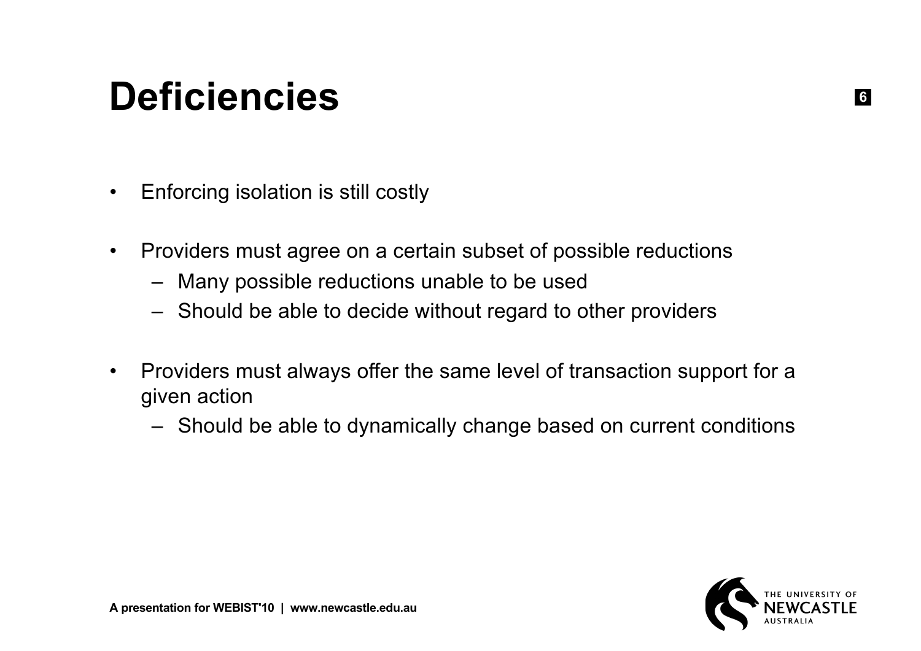### **Deficiencies**

- Enforcing isolation is still costly
- Providers must agree on a certain subset of possible reductions
	- Many possible reductions unable to be used
	- Should be able to decide without regard to other providers
- Providers must always offer the same level of transaction support for a given action
	- Should be able to dynamically change based on current conditions

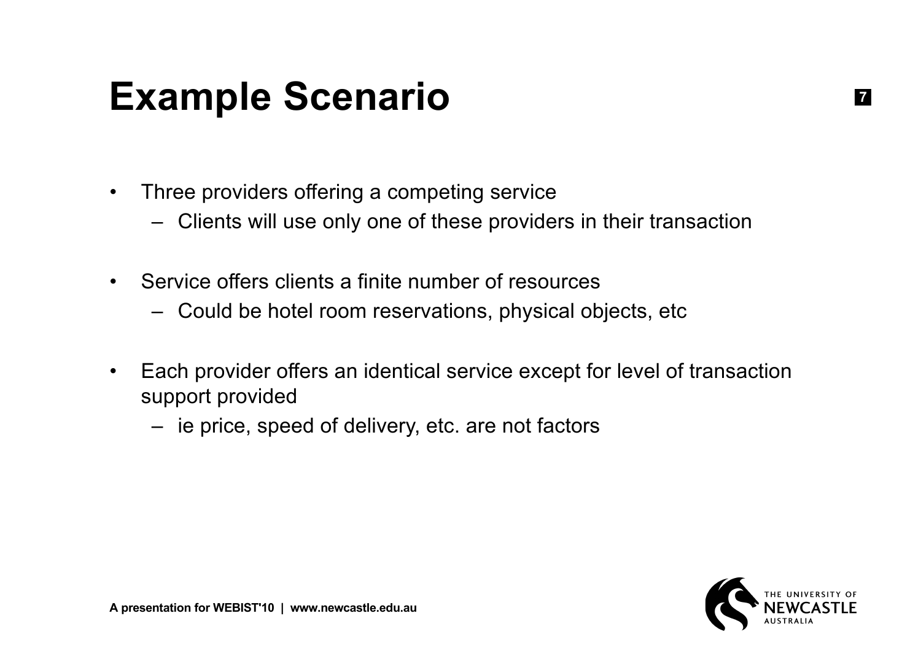### **Example Scenario**

- Three providers offering a competing service
	- Clients will use only one of these providers in their transaction
- Service offers clients a finite number of resources
	- Could be hotel room reservations, physical objects, etc
- Each provider offers an identical service except for level of transaction support provided
	- ie price, speed of delivery, etc. are not factors

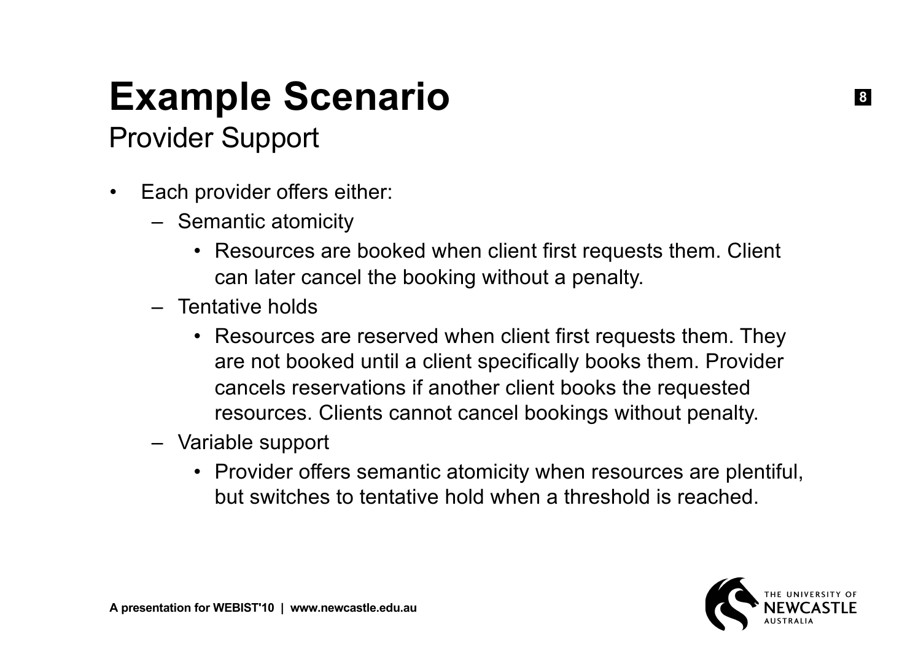# **Example Scenario**

#### Provider Support

- Each provider offers either:
	- Semantic atomicity
		- Resources are booked when client first requests them. Client can later cancel the booking without a penalty.
	- Tentative holds
		- Resources are reserved when client first requests them. They are not booked until a client specifically books them. Provider cancels reservations if another client books the requested resources. Clients cannot cancel bookings without penalty.
	- Variable support
		- Provider offers semantic atomicity when resources are plentiful, but switches to tentative hold when a threshold is reached.

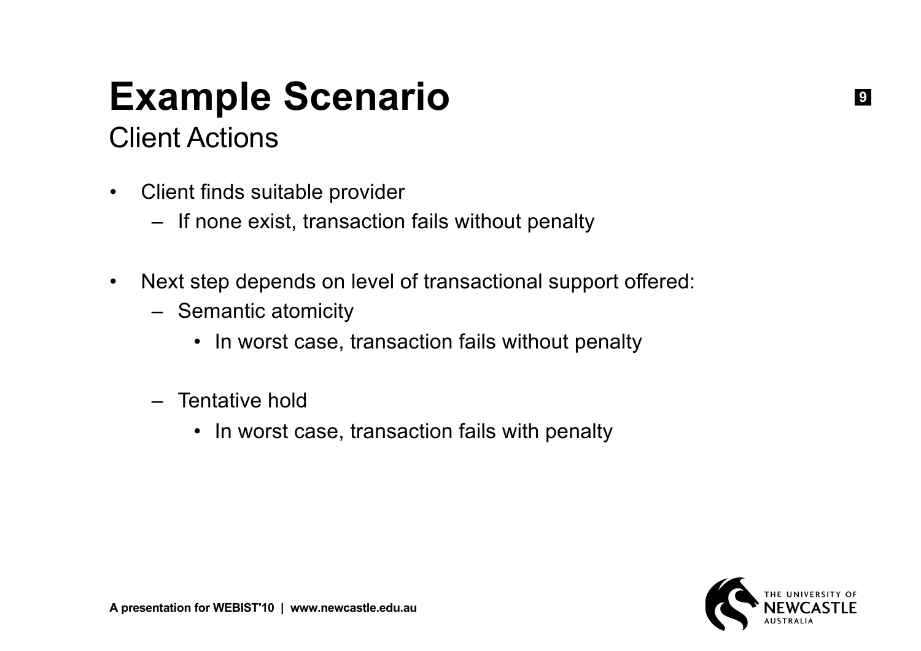# **Example Scenario**

#### Client Actions

- Client finds suitable provider
	- If none exist, transaction fails without penalty
- Next step depends on level of transactional support offered:
	- Semantic atomicity
		- In worst case, transaction fails without penalty
	- Tentative hold
		- In worst case, transaction fails with penalty

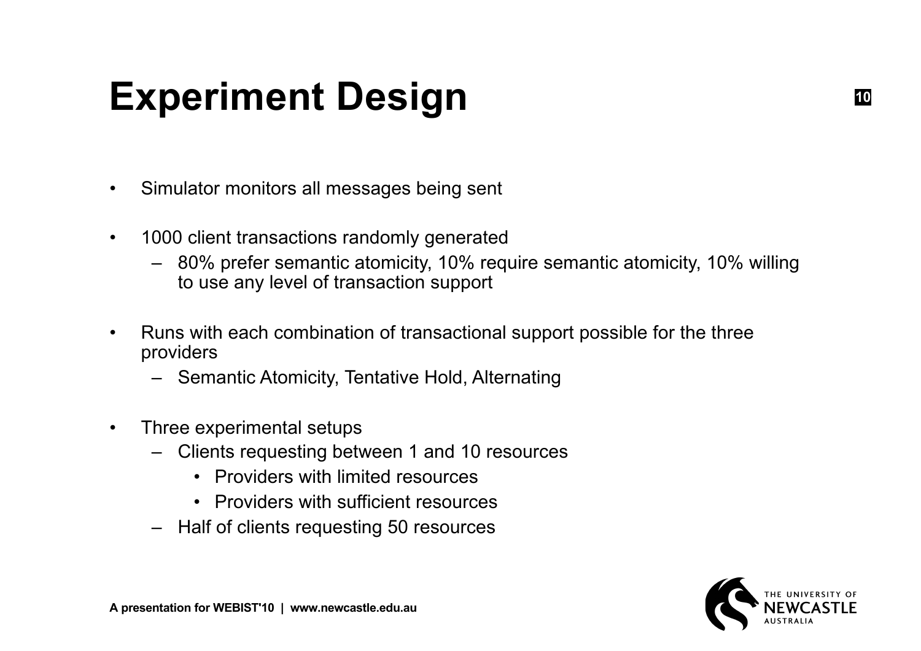## **Experiment Design**

- Simulator monitors all messages being sent
- 1000 client transactions randomly generated
	- 80% prefer semantic atomicity, 10% require semantic atomicity, 10% willing to use any level of transaction support
- Runs with each combination of transactional support possible for the three providers
	- Semantic Atomicity, Tentative Hold, Alternating
- Three experimental setups
	- Clients requesting between 1 and 10 resources
		- Providers with limited resources
		- Providers with sufficient resources
	- Half of clients requesting 50 resources

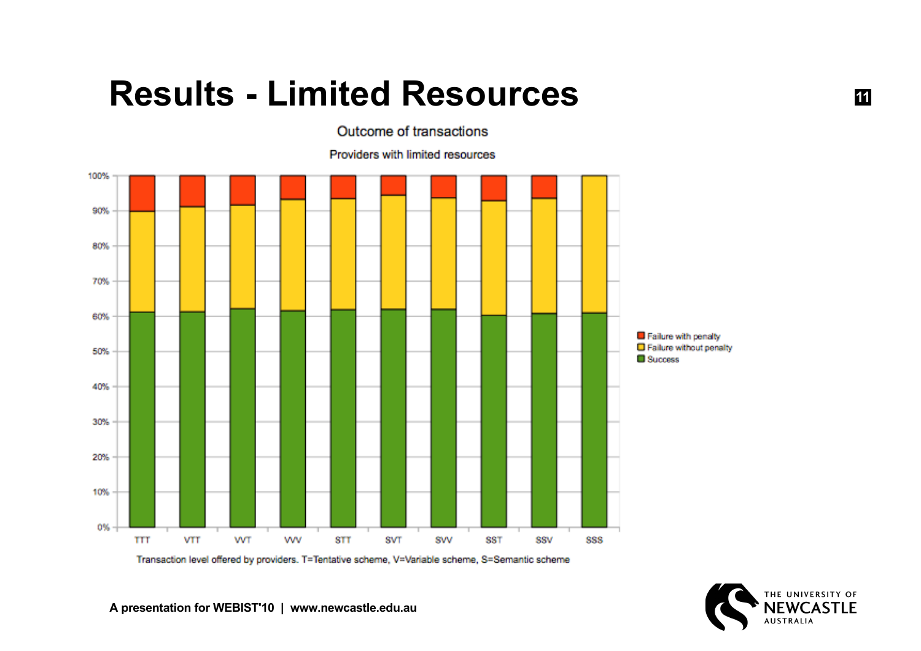#### **Results - Limited Resources**



Outcome of transactions

Providers with limited resources

Transaction level offered by providers. T=Tentative scheme, V=Variable scheme, S=Semantic scheme



**11**

**A presentation for WEBIST'10 | www.newcastle.edu.au**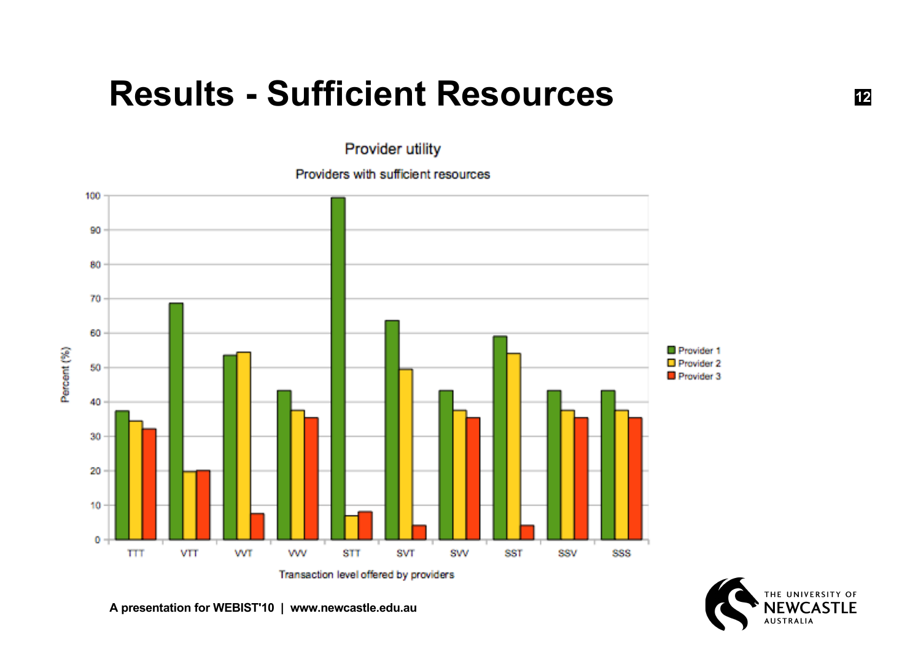#### **Results - Sufficient Resources**

Provider utility

Providers with sufficient resources



THE UNIVERSITY OF **NFWCAS AUSTRALIA** 

**12**

**A presentation for WEBIST'10 | www.newcastle.edu.au**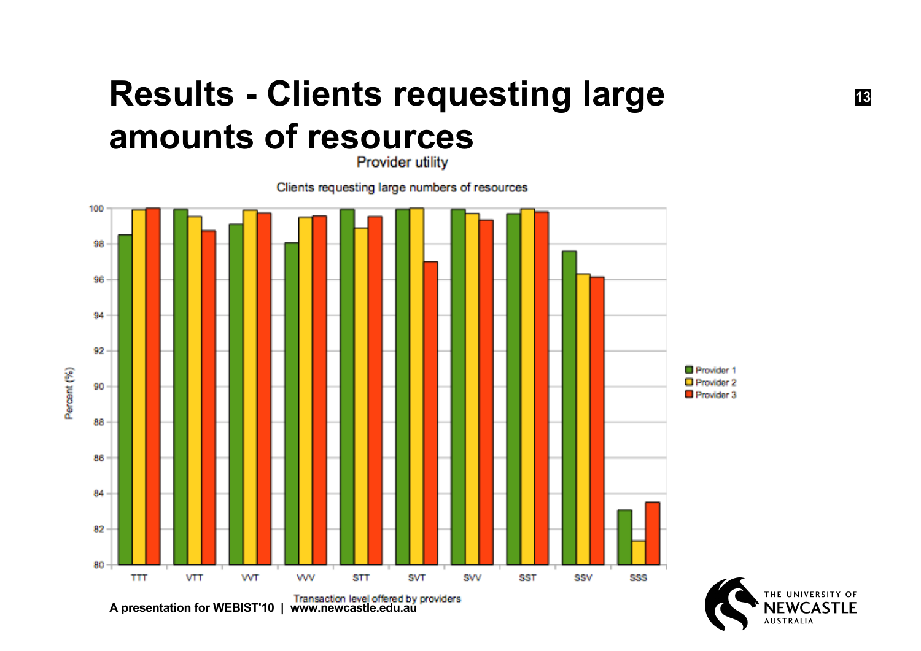## **Results - Clients requesting large amounts of resources**

Clients requesting large numbers of resources

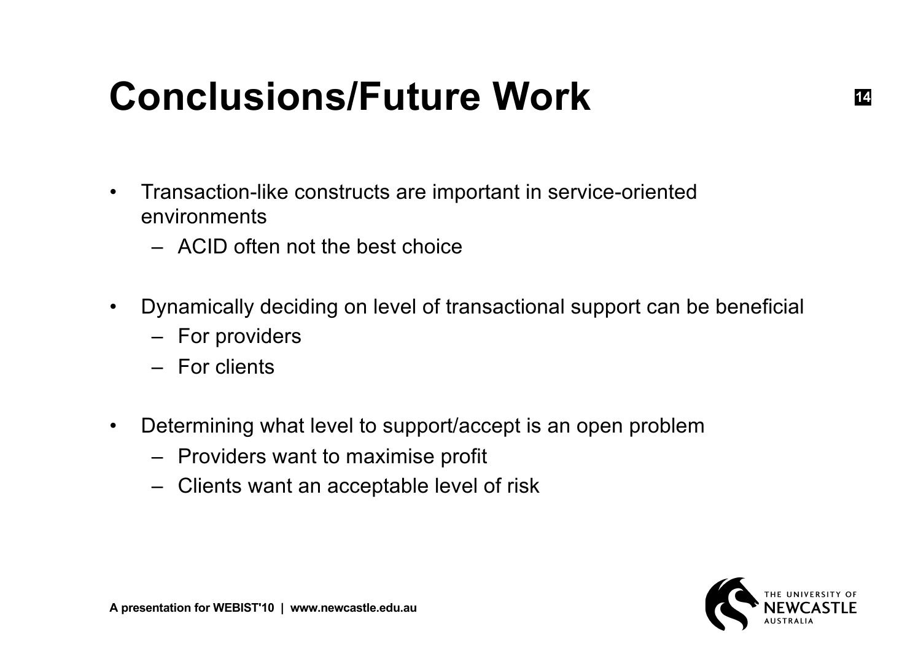### **Conclusions/Future Work**

- Transaction-like constructs are important in service-oriented environments
	- ACID often not the best choice
- Dynamically deciding on level of transactional support can be beneficial
	- For providers
	- For clients
- Determining what level to support/accept is an open problem
	- Providers want to maximise profit
	- Clients want an acceptable level of risk

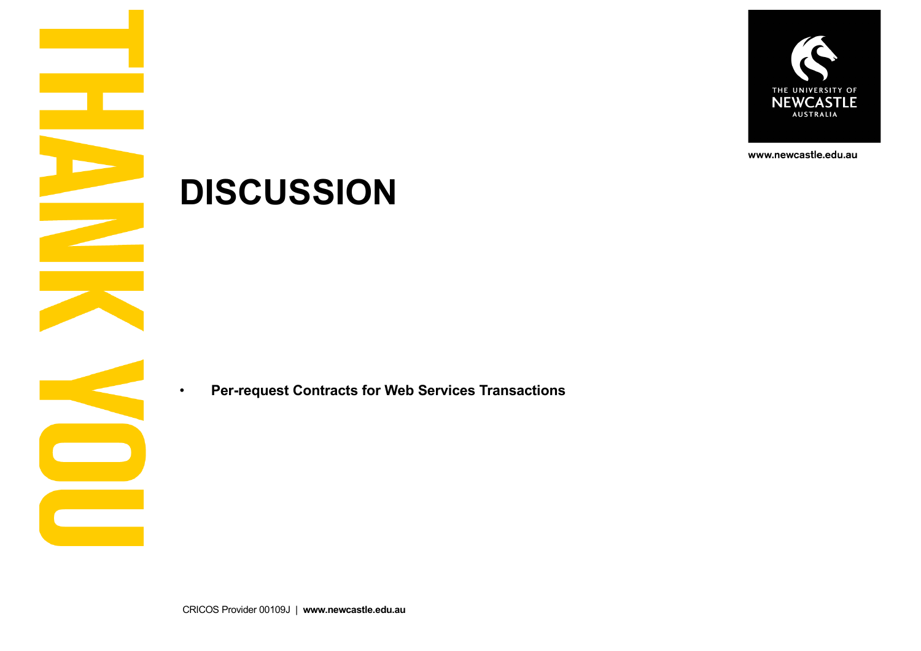

www.newcastle.edu.au

#### **DISCUSSION**

• **Per-request Contracts for Web Services Transactions**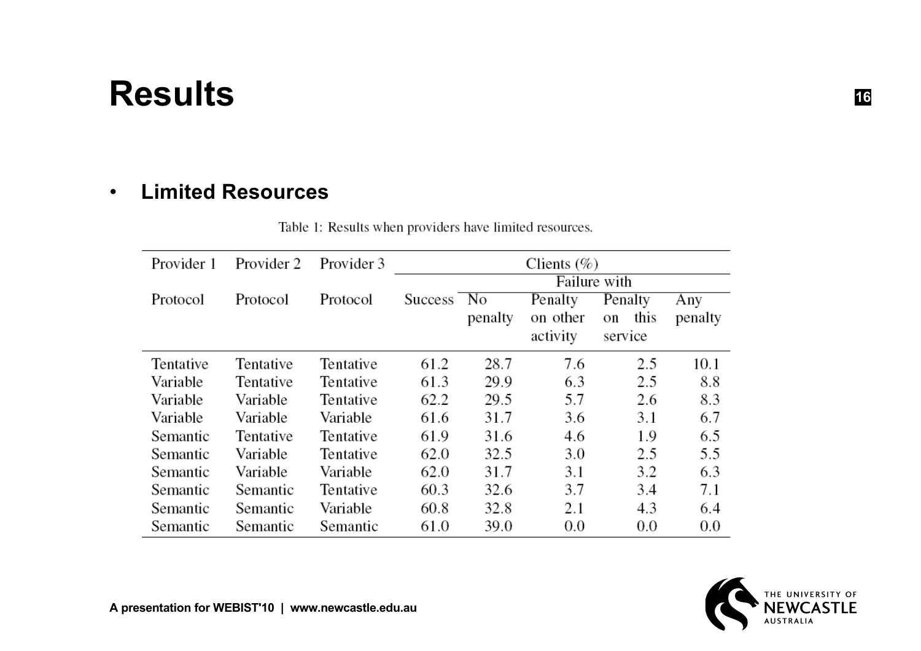#### **Results**

#### • **Limited Resources**

| Table 1: Results when providers have limited resources. |  |
|---------------------------------------------------------|--|
|---------------------------------------------------------|--|

| Provider 1 | Provider 2 | Provider 3 | Clients $(\%)$ |         |          |            |         |  |
|------------|------------|------------|----------------|---------|----------|------------|---------|--|
|            |            |            | Failure with   |         |          |            |         |  |
| Protocol   | Protocol   | Protocol   | Success No     | Penalty |          | Penalty    | Any     |  |
|            |            |            |                | penalty | on other | this<br>on | penalty |  |
|            |            |            |                |         | activity | service    |         |  |
| Tentative  | Tentative  | Tentative  | 61.2           | 28.7    | 7.6      | 2.5        | 10.1    |  |
| Variable   | Tentative  | Tentative  | 61.3           | 29.9    | 6.3      | 2.5        | 8.8     |  |
| Variable   | Variable   | Tentative  | 62.2           | 29.5    | 5.7      | 2.6        | 8.3     |  |
| Variable   | Variable   | Variable   | 61.6           | 31.7    | 3.6      | 3.1        | 6.7     |  |
| Semantic   | Tentative  | Tentative  | 61.9           | 31.6    | 4.6      | 1.9        | 6.5     |  |
| Semantic   | Variable   | Tentative  | 62.0           | 32.5    | 3.0      | 2.5        | 5.5     |  |
| Semantic   | Variable   | Variable   | 62.0           | 31.7    | 3.1      | 3.2        | 6.3     |  |
| Semantic   | Semantic   | Tentative  | 60.3           | 32.6    | 3.7      | 3.4        | 7.1     |  |
| Semantic   | Semantic   | Variable   | 60.8           | 32.8    | 2.1      | 4.3        | 6.4     |  |
| Semantic   | Semantic   | Semantic   | 61.0           | 39.0    | 0.0      | 0.0        | 0.0     |  |

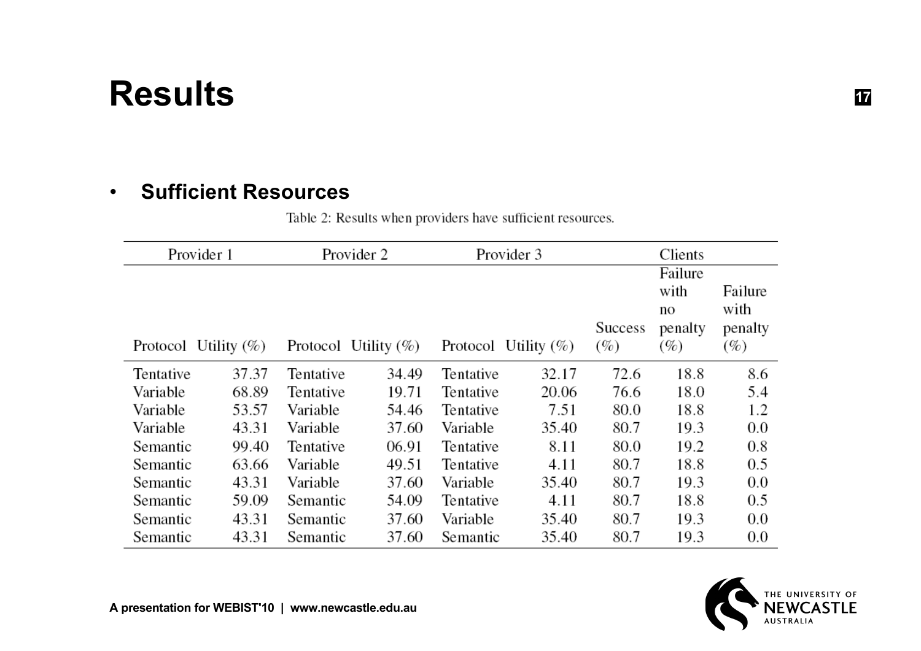### **Results**

#### • **Sufficient Resources**

Table 2: Results when providers have sufficient resources.

| Provider 1              |       | Provider 2              |       |           | Provider 3               | Clients           |                                         |                                      |
|-------------------------|-------|-------------------------|-------|-----------|--------------------------|-------------------|-----------------------------------------|--------------------------------------|
| Protocol Utility $(\%)$ |       | Protocol Utility $(\%)$ |       |           | Protocol Utility $(\% )$ | Success<br>$(\%)$ | Failure<br>with<br>no<br>penalty<br>(%) | Failure<br>with<br>penalty<br>$(\%)$ |
| Tentative               | 37.37 | Tentative               | 34.49 | Tentative | 32.17                    | 72.6              | 18.8                                    | 8.6                                  |
| Variable                | 68.89 | Tentative               | 19.71 | Tentative | 20.06                    | 76.6              | 18.0                                    | 5.4                                  |
| Variable                | 53.57 | Variable                | 54.46 | Tentative | 7.51                     | 80.0              | 18.8                                    | 1.2                                  |
| Variable                | 43.31 | Variable                | 37.60 | Variable  | 35.40                    | 80.7              | 19.3                                    | 0.0                                  |
| Semantic                | 99.40 | Tentative               | 06.91 | Tentative | 8.11                     | 80.0              | 19.2                                    | 0.8                                  |
| Semantic                | 63.66 | Variable                | 49.51 | Tentative | 4.11                     | 80.7              | 18.8                                    | 0.5                                  |
| Semantic                | 43.31 | Variable                | 37.60 | Variable  | 35.40                    | 80.7              | 19.3                                    | 0.0                                  |
| Semantic                | 59.09 | Semantic                | 54.09 | Tentative | 4.11                     | 80.7              | 18.8                                    | 0.5                                  |
| Semantic                | 43.31 | Semantic                | 37.60 | Variable  | 35.40                    | 80.7              | 19.3                                    | 0.0                                  |
| Semantic                | 43.31 | Semantic                | 37.60 | Semantic  | 35.40                    | 80.7              | 19.3                                    | 0.0                                  |